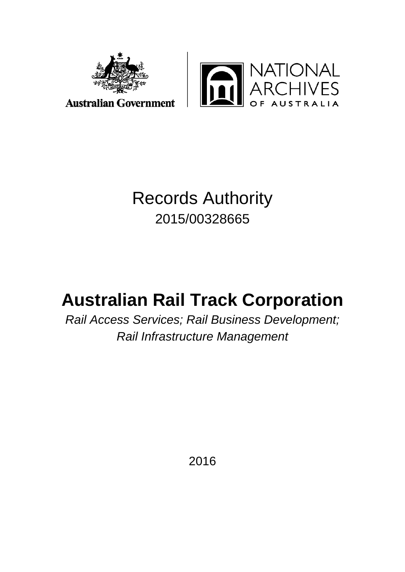



**Australian Government** 

# Records Authority 2015/00328665

# **Australian Rail Track Corporation**

*Rail Access Services; Rail Business Development; Rail Infrastructure Management*

2016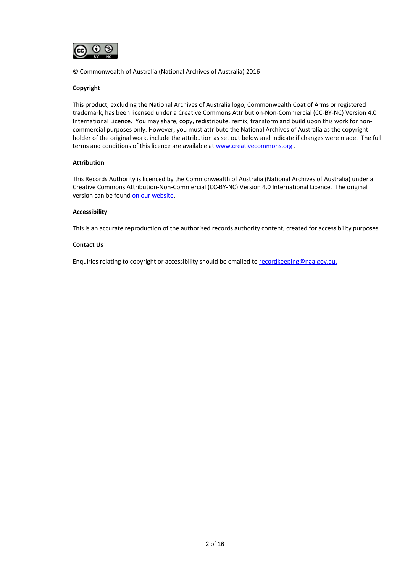

© Commonwealth of Australia (National Archives of Australia) 2016

### **Copyright**

This product, excluding the National Archives of Australia logo, Commonwealth Coat of Arms or registered trademark, has been licensed under a Creative Commons Attribution-Non-Commercial (CC-BY-NC) Version 4.0 International Licence. You may share, copy, redistribute, remix, transform and build upon this work for noncommercial purposes only. However, you must attribute the National Archives of Australia as the copyright holder of the original work, include the attribution as set out below and indicate if changes were made. The full terms and conditions of this licence are available a[t www.creativecommons.org](http://www.creativecommons.org/) .

#### **Attribution**

This Records Authority is licenced by the Commonwealth of Australia (National Archives of Australia) under a Creative Commons Attribution-Non-Commercial (CC-BY-NC) Version 4.0 International Licence. The original version can be foun[d on our website.](http://www.naa.gov.au/)

#### **Accessibility**

This is an accurate reproduction of the authorised records authority content, created for accessibility purposes.

#### **Contact Us**

Enquiries relating to copyright or accessibility should be emailed to [recordkeeping@naa.gov.au.](mailto:recordkeeping@naa.gov.au)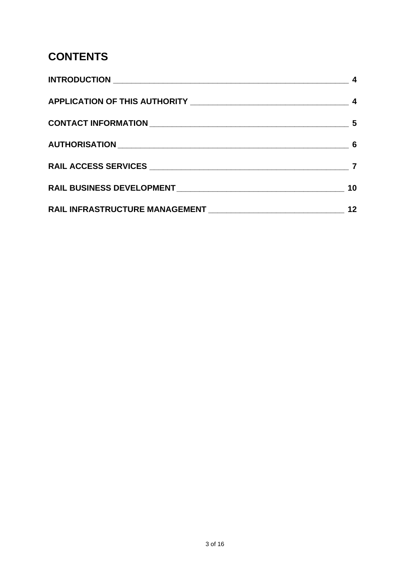# **CONTENTS**

| 10 |
|----|
|    |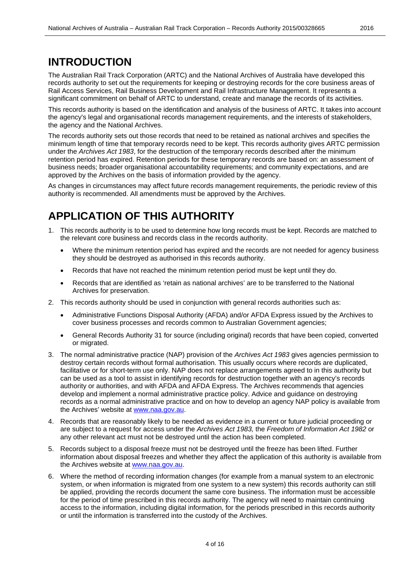### **INTRODUCTION**

The Australian Rail Track Corporation (ARTC) and the National Archives of Australia have developed this records authority to set out the requirements for keeping or destroying records for the core business areas of Rail Access Services, Rail Business Development and Rail Infrastructure Management. It represents a significant commitment on behalf of ARTC to understand, create and manage the records of its activities.

This records authority is based on the identification and analysis of the business of ARTC. It takes into account the agency's legal and organisational records management requirements, and the interests of stakeholders, the agency and the National Archives.

The records authority sets out those records that need to be retained as national archives and specifies the minimum length of time that temporary records need to be kept. This records authority gives ARTC permission under the *Archives Act 1983*, for the destruction of the temporary records described after the minimum retention period has expired. Retention periods for these temporary records are based on: an assessment of business needs; broader organisational accountability requirements; and community expectations, and are approved by the Archives on the basis of information provided by the agency.

As changes in circumstances may affect future records management requirements, the periodic review of this authority is recommended. All amendments must be approved by the Archives.

## **APPLICATION OF THIS AUTHORITY**

- 1. This records authority is to be used to determine how long records must be kept. Records are matched to the relevant core business and records class in the records authority.
	- Where the minimum retention period has expired and the records are not needed for agency business they should be destroyed as authorised in this records authority.
	- Records that have not reached the minimum retention period must be kept until they do.
	- Records that are identified as 'retain as national archives' are to be transferred to the National Archives for preservation.
- 2. This records authority should be used in conjunction with general records authorities such as:
	- Administrative Functions Disposal Authority (AFDA) and/or AFDA Express issued by the Archives to cover business processes and records common to Australian Government agencies;
	- General Records Authority 31 for source (including original) records that have been copied, converted or migrated.
- 3. The normal administrative practice (NAP) provision of the *Archives Act 1983* gives agencies permission to destroy certain records without formal authorisation. This usually occurs where records are duplicated, facilitative or for short-term use only. NAP does not replace arrangements agreed to in this authority but can be used as a tool to assist in identifying records for destruction together with an agency's records authority or authorities, and with AFDA and AFDA Express. The Archives recommends that agencies develop and implement a normal administrative practice policy. Advice and guidance on destroying records as a normal administrative practice and on how to develop an agency NAP policy is available from the Archives' website at [www.naa.gov.au.](http://www.naa.gov.au/)
- 4. Records that are reasonably likely to be needed as evidence in a current or future judicial proceeding or are subject to a request for access under the *Archives Act 1983,* the *Freedom of Information Act 1982* or any other relevant act must not be destroyed until the action has been completed.
- 5. Records subject to a disposal freeze must not be destroyed until the freeze has been lifted. Further information about disposal freezes and whether they affect the application of this authority is available from the Archives website at [www.naa.gov.au.](http://www.naa.gov.au/)
- 6. Where the method of recording information changes (for example from a manual system to an electronic system, or when information is migrated from one system to a new system) this records authority can still be applied, providing the records document the same core business. The information must be accessible for the period of time prescribed in this records authority. The agency will need to maintain continuing access to the information, including digital information, for the periods prescribed in this records authority or until the information is transferred into the custody of the Archives.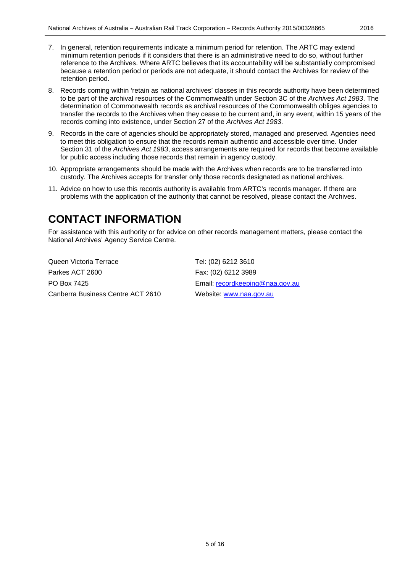- 7. In general, retention requirements indicate a minimum period for retention. The ARTC may extend minimum retention periods if it considers that there is an administrative need to do so, without further reference to the Archives. Where ARTC believes that its accountability will be substantially compromised because a retention period or periods are not adequate, it should contact the Archives for review of the retention period.
- 8. Records coming within 'retain as national archives' classes in this records authority have been determined to be part of the archival resources of the Commonwealth under Section 3C of the *Archives Act 1983*. The determination of Commonwealth records as archival resources of the Commonwealth obliges agencies to transfer the records to the Archives when they cease to be current and, in any event, within 15 years of the records coming into existence, under Section 27 of the *Archives Act 1983*.
- 9. Records in the care of agencies should be appropriately stored, managed and preserved. Agencies need to meet this obligation to ensure that the records remain authentic and accessible over time. Under Section 31 of the *Archives Act 1983*, access arrangements are required for records that become available for public access including those records that remain in agency custody.
- 10. Appropriate arrangements should be made with the Archives when records are to be transferred into custody. The Archives accepts for transfer only those records designated as national archives.
- 11. Advice on how to use this records authority is available from ARTC's records manager. If there are problems with the application of the authority that cannot be resolved, please contact the Archives.

## **CONTACT INFORMATION**

For assistance with this authority or for advice on other records management matters, please contact the National Archives' Agency Service Centre.

Queen Victoria Terrace Tel: (02) 6212 3610 Parkes ACT 2600 Fax: (02) 6212 3989 PO Box 7425 **Email:** [recordkeeping@naa.gov.au](mailto:recordkeeping@naa.gov.au) Canberra Business Centre ACT 2610 Website: [www.naa.gov.au](http://www.naa.gov.au/)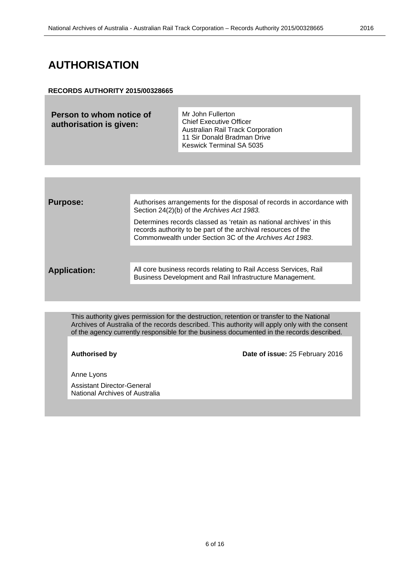## **AUTHORISATION**

### **RECORDS AUTHORITY 2015/00328665**

**Person to whom notice of authorisation is given:**

Mr John Fullerton Chief Executive Officer Australian Rail Track Corporation 11 Sir Donald Bradman Drive Keswick Terminal SA 5035

| <b>Purpose:</b>     | Authorises arrangements for the disposal of records in accordance with<br>Section 24(2)(b) of the Archives Act 1983.                                                                            |
|---------------------|-------------------------------------------------------------------------------------------------------------------------------------------------------------------------------------------------|
|                     | Determines records classed as 'retain as national archives' in this<br>records authority to be part of the archival resources of the<br>Commonwealth under Section 3C of the Archives Act 1983. |
|                     |                                                                                                                                                                                                 |
| <b>Application:</b> | All core business records relating to Rail Access Services, Rail<br>Business Development and Rail Infrastructure Management.                                                                    |
|                     |                                                                                                                                                                                                 |

This authority gives permission for the destruction, retention or transfer to the National Archives of Australia of the records described. This authority will apply only with the consent of the agency currently responsible for the business documented in the records described.

**Authorised by Date of issue:** 25 February 2016

Anne Lyons

Assistant Director-General National Archives of Australia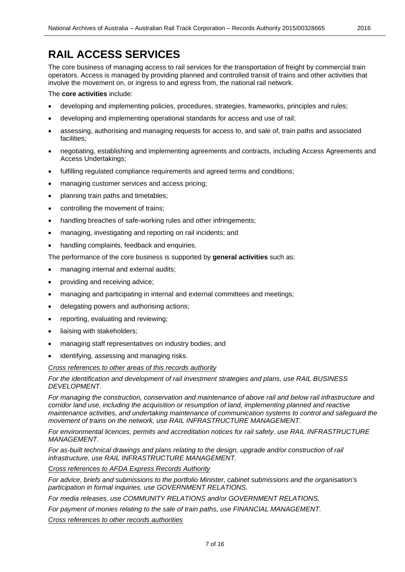# **RAIL ACCESS SERVICES**

The core business of managing access to rail services for the transportation of freight by commercial train operators. Access is managed by providing planned and controlled transit of trains and other activities that involve the movement on, or ingress to and egress from, the national rail network.

The **core activities** include:

- developing and implementing policies, procedures, strategies, frameworks, principles and rules;
- developing and implementing operational standards for access and use of rail;
- assessing, authorising and managing requests for access to, and sale of, train paths and associated facilities;
- negotiating, establishing and implementing agreements and contracts, including Access Agreements and Access Undertakings;
- fulfilling regulated compliance requirements and agreed terms and conditions;
- managing customer services and access pricing;
- planning train paths and timetables;
- controlling the movement of trains;
- handling breaches of safe-working rules and other infringements;
- managing, investigating and reporting on rail incidents; and
- handling complaints, feedback and enquiries.

The performance of the core business is supported by **general activities** such as:

- managing internal and external audits;
- providing and receiving advice;
- managing and participating in internal and external committees and meetings;
- delegating powers and authorising actions;
- reporting, evaluating and reviewing;
- liaising with stakeholders;
- managing staff representatives on industry bodies; and
- identifying, assessing and managing risks.

### *Cross references to other areas of this records authority*

*For the identification and development of rail investment strategies and plans, use RAIL BUSINESS DEVELOPMENT.*

*For managing the construction, conservation and maintenance of above rail and below rail infrastructure and corridor land use, including the acquisition or resumption of land, implementing planned and reactive maintenance activities, and undertaking maintenance of communication systems to control and safeguard the movement of trains on the network, use RAIL INFRASTRUCTURE MANAGEMENT.*

*For environmental licences, permits and accreditation notices for rail safety, use RAIL INFRASTRUCTURE MANAGEMENT.*

*For as-built technical drawings and plans relating to the design, upgrade and/or construction of rail infrastructure, use RAIL INFRASTRUCTURE MANAGEMENT.*

*Cross references to AFDA Express Records Authority*

*For advice, briefs and submissions to the portfolio Minister, cabinet submissions and the organisation's participation in formal inquiries, use GOVERNMENT RELATIONS.*

*For media releases, use COMMUNITY RELATIONS and/or GOVERNMENT RELATIONS.*

*For payment of monies relating to the sale of train paths, use FINANCIAL MANAGEMENT.*

*Cross references to other records authorities*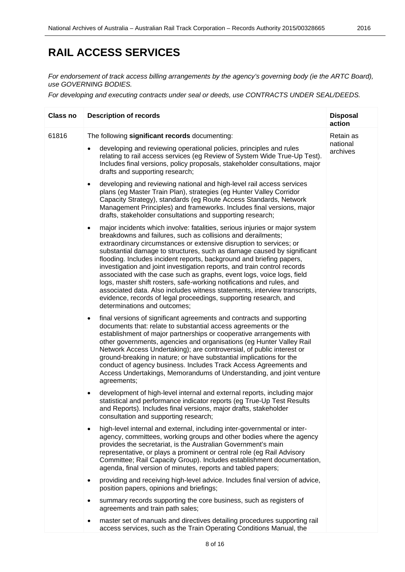# **RAIL ACCESS SERVICES**

*For endorsement of track access billing arrangements by the agency's governing body (ie the ARTC Board), use GOVERNING BODIES.*

*For developing and executing contracts under seal or deeds, use CONTRACTS UNDER SEAL/DEEDS.*

| <b>Class no</b> | <b>Description of records</b>                                                                                                                                                                                                                                                                                                                                                                                                                                                                                                                                                                                                                                                                                                                                                                     | <b>Disposal</b><br>action         |
|-----------------|---------------------------------------------------------------------------------------------------------------------------------------------------------------------------------------------------------------------------------------------------------------------------------------------------------------------------------------------------------------------------------------------------------------------------------------------------------------------------------------------------------------------------------------------------------------------------------------------------------------------------------------------------------------------------------------------------------------------------------------------------------------------------------------------------|-----------------------------------|
| 61816           | The following significant records documenting:<br>developing and reviewing operational policies, principles and rules<br>$\bullet$<br>relating to rail access services (eg Review of System Wide True-Up Test).<br>Includes final versions, policy proposals, stakeholder consultations, major<br>drafts and supporting research;                                                                                                                                                                                                                                                                                                                                                                                                                                                                 | Retain as<br>national<br>archives |
|                 | developing and reviewing national and high-level rail access services<br>$\bullet$<br>plans (eg Master Train Plan), strategies (eg Hunter Valley Corridor<br>Capacity Strategy), standards (eg Route Access Standards, Network<br>Management Principles) and frameworks. Includes final versions, major<br>drafts, stakeholder consultations and supporting research;                                                                                                                                                                                                                                                                                                                                                                                                                             |                                   |
|                 | major incidents which involve: fatalities, serious injuries or major system<br>$\bullet$<br>breakdowns and failures, such as collisions and derailments;<br>extraordinary circumstances or extensive disruption to services; or<br>substantial damage to structures, such as damage caused by significant<br>flooding. Includes incident reports, background and briefing papers,<br>investigation and joint investigation reports, and train control records<br>associated with the case such as graphs, event logs, voice logs, field<br>logs, master shift rosters, safe-working notifications and rules, and<br>associated data. Also includes witness statements, interview transcripts,<br>evidence, records of legal proceedings, supporting research, and<br>determinations and outcomes; |                                   |
|                 | final versions of significant agreements and contracts and supporting<br>$\bullet$<br>documents that: relate to substantial access agreements or the<br>establishment of major partnerships or cooperative arrangements with<br>other governments, agencies and organisations (eg Hunter Valley Rail<br>Network Access Undertaking); are controversial, of public interest or<br>ground-breaking in nature; or have substantial implications for the<br>conduct of agency business. Includes Track Access Agreements and<br>Access Undertakings, Memorandums of Understanding, and joint venture<br>agreements;                                                                                                                                                                                   |                                   |
|                 | development of high-level internal and external reports, including major<br>٠<br>statistical and performance indicator reports (eg True-Up Test Results<br>and Reports). Includes final versions, major drafts, stakeholder<br>consultation and supporting research;                                                                                                                                                                                                                                                                                                                                                                                                                                                                                                                              |                                   |
|                 | high-level internal and external, including inter-governmental or inter-<br>agency, committees, working groups and other bodies where the agency<br>provides the secretariat, is the Australian Government's main<br>representative, or plays a prominent or central role (eg Rail Advisory<br>Committee; Rail Capacity Group). Includes establishment documentation,<br>agenda, final version of minutes, reports and tabled papers;                                                                                                                                                                                                                                                                                                                                                             |                                   |
|                 | providing and receiving high-level advice. Includes final version of advice,<br>$\bullet$<br>position papers, opinions and briefings;                                                                                                                                                                                                                                                                                                                                                                                                                                                                                                                                                                                                                                                             |                                   |
|                 | summary records supporting the core business, such as registers of<br>agreements and train path sales;                                                                                                                                                                                                                                                                                                                                                                                                                                                                                                                                                                                                                                                                                            |                                   |
|                 | master set of manuals and directives detailing procedures supporting rail<br>access services, such as the Train Operating Conditions Manual, the                                                                                                                                                                                                                                                                                                                                                                                                                                                                                                                                                                                                                                                  |                                   |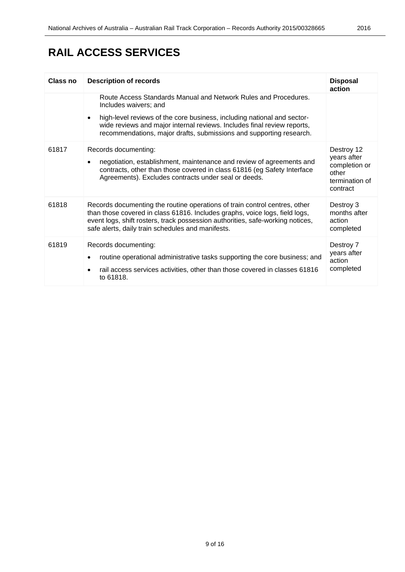# **RAIL ACCESS SERVICES**

| Class no | <b>Description of records</b>                                                                                                                                                                                                                                                                                                      | <b>Disposal</b><br>action                                                         |
|----------|------------------------------------------------------------------------------------------------------------------------------------------------------------------------------------------------------------------------------------------------------------------------------------------------------------------------------------|-----------------------------------------------------------------------------------|
|          | Route Access Standards Manual and Network Rules and Procedures.<br>Includes waivers; and<br>high-level reviews of the core business, including national and sector-<br>$\bullet$<br>wide reviews and major internal reviews. Includes final review reports,<br>recommendations, major drafts, submissions and supporting research. |                                                                                   |
| 61817    | Records documenting:<br>negotiation, establishment, maintenance and review of agreements and<br>$\bullet$<br>contracts, other than those covered in class 61816 (eg Safety Interface<br>Agreements). Excludes contracts under seal or deeds.                                                                                       | Destroy 12<br>years after<br>completion or<br>other<br>termination of<br>contract |
| 61818    | Records documenting the routine operations of train control centres, other<br>than those covered in class 61816. Includes graphs, voice logs, field logs,<br>event logs, shift rosters, track possession authorities, safe-working notices,<br>safe alerts, daily train schedules and manifests.                                   | Destroy 3<br>months after<br>action<br>completed                                  |
| 61819    | Records documenting:<br>routine operational administrative tasks supporting the core business; and<br>rail access services activities, other than those covered in classes 61816<br>to 61818.                                                                                                                                      | Destroy 7<br>years after<br>action<br>completed                                   |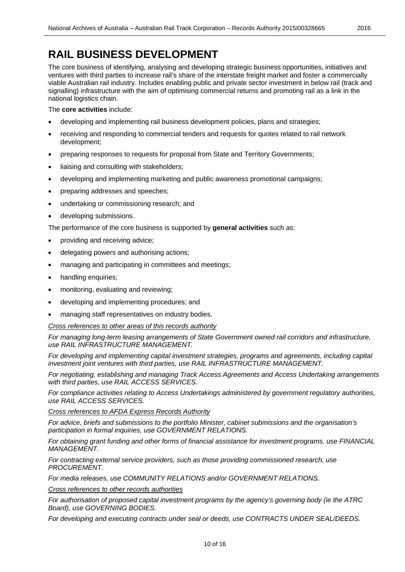# **RAIL BUSINESS DEVELOPMENT**

The core business of identifying, analysing and developing strategic business opportunities, initiatives and ventures with third parties to increase rail's share of the interstate freight market and foster a commercially viable Australian rail industry. Includes enabling public and private sector investment in below rail (track and signalling) infrastructure with the aim of optimising commercial returns and promoting rail as a link in the national logistics chain.

### The **core activities** include:

- developing and implementing rail business development policies, plans and strategies;
- receiving and responding to commercial tenders and requests for quotes related to rail network development;
- preparing responses to requests for proposal from State and Territory Governments;
- liaising and consulting with stakeholders;
- developing and implementing marketing and public awareness promotional campaigns;
- preparing addresses and speeches;
- undertaking or commissioning research; and
- developing submissions.

The performance of the core business is supported by **general activities** such as:

- providing and receiving advice;
- delegating powers and authorising actions;
- managing and participating in committees and meetings;
- handling enquiries;
- monitoring, evaluating and reviewing;
- developing and implementing procedures; and
- managing staff representatives on industry bodies.

### *Cross references to other areas of this records authority*

*For managing long-term leasing arrangements of State Government owned rail corridors and infrastructure, use RAIL INFRASTRUCTURE MANAGEMENT.*

*For developing and implementing capital investment strategies, programs and agreements, including capital investment joint ventures with third parties, use RAIL INFRASTRUCTURE MANAGEMENT.*

*For negotiating, establishing and managing Track Access Agreements and Access Undertaking arrangements with third parties, use RAIL ACCESS SERVICES.*

*For compliance activities relating to Access Undertakings administered by government regulatory authorities, use RAIL ACCESS SERVICES.*

### *Cross references to AFDA Express Records Authority*

*For advice, briefs and submissions to the portfolio Minister, cabinet submissions and the organisation's participation in formal inquiries, use GOVERNMENT RELATIONS.*

*For obtaining grant funding and other forms of financial assistance for investment programs, use FINANCIAL MANAGEMENT.*

*For contracting external service providers, such as those providing commissioned research, use PROCUREMENT.*

*For media releases, use COMMUNITY RELATIONS and/or GOVERNMENT RELATIONS.*

*Cross references to other records authorities*

*For authorisation of proposed capital investment programs by the agency's governing body (ie the ATRC Board), use GOVERNING BODIES.*

*For developing and executing contracts under seal or deeds, use CONTRACTS UNDER SEAL/DEEDS.*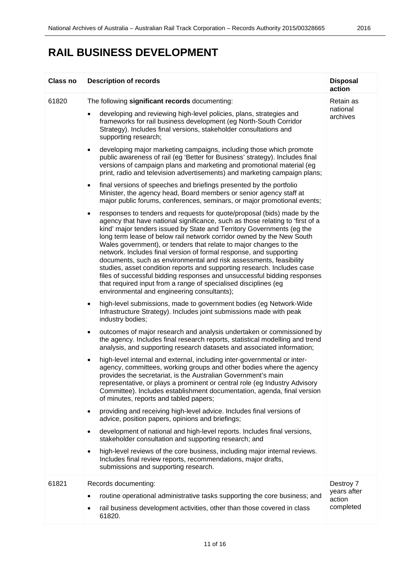# **RAIL BUSINESS DEVELOPMENT**

| <b>Class no</b> | <b>Description of records</b>                                                                                                                                                                                                                                                                                                                                                                                                                                                                                                                                                                                                                                                                                                                                                                                                                                                                                                                                                                                                                                                                                                                                                                                                                                                                                                                                                                                                                                                                                                                                                                                                                                                                                                                                                                                                                                                                                                                                                                                                                                                                                                                                                                                                                                                                                                                                                                                                                                                                                                                                                                                                                                                                                                                                                                                                                                                                                                                                                                | <b>Disposal</b><br>action         |
|-----------------|----------------------------------------------------------------------------------------------------------------------------------------------------------------------------------------------------------------------------------------------------------------------------------------------------------------------------------------------------------------------------------------------------------------------------------------------------------------------------------------------------------------------------------------------------------------------------------------------------------------------------------------------------------------------------------------------------------------------------------------------------------------------------------------------------------------------------------------------------------------------------------------------------------------------------------------------------------------------------------------------------------------------------------------------------------------------------------------------------------------------------------------------------------------------------------------------------------------------------------------------------------------------------------------------------------------------------------------------------------------------------------------------------------------------------------------------------------------------------------------------------------------------------------------------------------------------------------------------------------------------------------------------------------------------------------------------------------------------------------------------------------------------------------------------------------------------------------------------------------------------------------------------------------------------------------------------------------------------------------------------------------------------------------------------------------------------------------------------------------------------------------------------------------------------------------------------------------------------------------------------------------------------------------------------------------------------------------------------------------------------------------------------------------------------------------------------------------------------------------------------------------------------------------------------------------------------------------------------------------------------------------------------------------------------------------------------------------------------------------------------------------------------------------------------------------------------------------------------------------------------------------------------------------------------------------------------------------------------------------------------|-----------------------------------|
| 61820           | The following significant records documenting:<br>developing and reviewing high-level policies, plans, strategies and<br>$\bullet$<br>frameworks for rail business development (eg North-South Corridor<br>Strategy). Includes final versions, stakeholder consultations and<br>supporting research;<br>developing major marketing campaigns, including those which promote<br>٠<br>public awareness of rail (eg 'Better for Business' strategy). Includes final<br>versions of campaign plans and marketing and promotional material (eg<br>print, radio and television advertisements) and marketing campaign plans;<br>final versions of speeches and briefings presented by the portfolio<br>$\bullet$<br>Minister, the agency head, Board members or senior agency staff at<br>major public forums, conferences, seminars, or major promotional events;<br>responses to tenders and requests for quote/proposal (bids) made by the<br>$\bullet$<br>agency that have national significance, such as those relating to 'first of a<br>kind' major tenders issued by State and Territory Governments (eg the<br>long term lease of below rail network corridor owned by the New South<br>Wales government), or tenders that relate to major changes to the<br>network. Includes final version of formal response, and supporting<br>documents, such as environmental and risk assessments, feasibility<br>studies, asset condition reports and supporting research. Includes case<br>files of successful bidding responses and unsuccessful bidding responses<br>that required input from a range of specialised disciplines (eg<br>environmental and engineering consultants);<br>high-level submissions, made to government bodies (eg Network-Wide<br>٠<br>Infrastructure Strategy). Includes joint submissions made with peak<br>industry bodies;<br>outcomes of major research and analysis undertaken or commissioned by<br>٠<br>the agency. Includes final research reports, statistical modelling and trend<br>analysis, and supporting research datasets and associated information;<br>high-level internal and external, including inter-governmental or inter-<br>$\bullet$<br>agency, committees, working groups and other bodies where the agency<br>provides the secretariat, is the Australian Government's main<br>representative, or plays a prominent or central role (eg Industry Advisory<br>Committee). Includes establishment documentation, agenda, final version<br>of minutes, reports and tabled papers;<br>providing and receiving high-level advice. Includes final versions of<br>$\bullet$<br>advice, position papers, opinions and briefings;<br>development of national and high-level reports. Includes final versions,<br>$\bullet$<br>stakeholder consultation and supporting research; and<br>high-level reviews of the core business, including major internal reviews.<br>$\bullet$<br>Includes final review reports, recommendations, major drafts, | Retain as<br>national<br>archives |
| 61821           | submissions and supporting research.<br>Records documenting:<br>routine operational administrative tasks supporting the core business; and                                                                                                                                                                                                                                                                                                                                                                                                                                                                                                                                                                                                                                                                                                                                                                                                                                                                                                                                                                                                                                                                                                                                                                                                                                                                                                                                                                                                                                                                                                                                                                                                                                                                                                                                                                                                                                                                                                                                                                                                                                                                                                                                                                                                                                                                                                                                                                                                                                                                                                                                                                                                                                                                                                                                                                                                                                                   | Destroy 7<br>years after          |
|                 | rail business development activities, other than those covered in class<br>61820.                                                                                                                                                                                                                                                                                                                                                                                                                                                                                                                                                                                                                                                                                                                                                                                                                                                                                                                                                                                                                                                                                                                                                                                                                                                                                                                                                                                                                                                                                                                                                                                                                                                                                                                                                                                                                                                                                                                                                                                                                                                                                                                                                                                                                                                                                                                                                                                                                                                                                                                                                                                                                                                                                                                                                                                                                                                                                                            | action<br>completed               |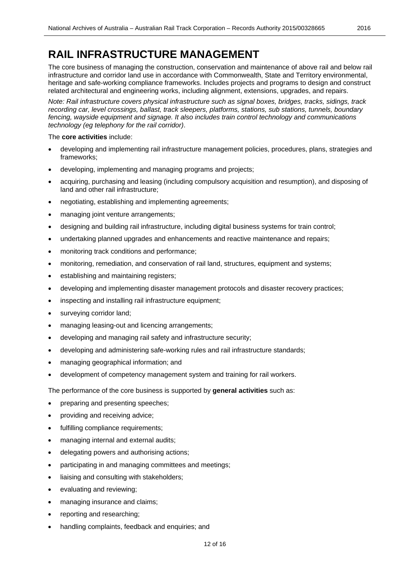The core business of managing the construction, conservation and maintenance of above rail and below rail infrastructure and corridor land use in accordance with Commonwealth, State and Territory environmental, heritage and safe-working compliance frameworks. Includes projects and programs to design and construct related architectural and engineering works, including alignment, extensions, upgrades, and repairs.

*Note: Rail infrastructure covers physical infrastructure such as signal boxes, bridges, tracks, sidings, track recording car, level crossings, ballast, track sleepers, platforms, stations, sub stations, tunnels, boundary fencing, wayside equipment and signage. It also includes train control technology and communications technology (eg telephony for the rail corridor)*.

The **core activities** include:

- developing and implementing rail infrastructure management policies, procedures, plans, strategies and frameworks;
- developing, implementing and managing programs and projects;
- acquiring, purchasing and leasing (including compulsory acquisition and resumption), and disposing of land and other rail infrastructure;
- negotiating, establishing and implementing agreements;
- managing joint venture arrangements;
- designing and building rail infrastructure, including digital business systems for train control;
- undertaking planned upgrades and enhancements and reactive maintenance and repairs;
- monitoring track conditions and performance;
- monitoring, remediation, and conservation of rail land, structures, equipment and systems;
- establishing and maintaining registers;
- developing and implementing disaster management protocols and disaster recovery practices;
- inspecting and installing rail infrastructure equipment;
- surveying corridor land;
- managing leasing-out and licencing arrangements;
- developing and managing rail safety and infrastructure security;
- developing and administering safe-working rules and rail infrastructure standards;
- managing geographical information; and
- development of competency management system and training for rail workers.

The performance of the core business is supported by **general activities** such as:

- preparing and presenting speeches;
- providing and receiving advice;
- fulfilling compliance requirements;
- managing internal and external audits;
- delegating powers and authorising actions;
- participating in and managing committees and meetings;
- liaising and consulting with stakeholders;
- evaluating and reviewing;
- managing insurance and claims;
- reporting and researching;
- handling complaints, feedback and enquiries; and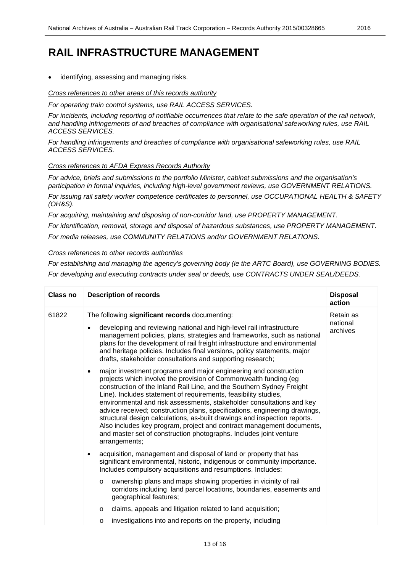identifying, assessing and managing risks.

*Cross references to other areas of this records authority*

*For operating train control systems, use RAIL ACCESS SERVICES.*

*For incidents, including reporting of notifiable occurrences that relate to the safe operation of the rail network, and handling infringements of and breaches of compliance with organisational safeworking rules, use RAIL ACCESS SERVICES.*

*For handling infringements and breaches of compliance with organisational safeworking rules, use RAIL ACCESS SERVICES.* 

### *Cross references to AFDA Express Records Authority*

*For advice, briefs and submissions to the portfolio Minister, cabinet submissions and the organisation's participation in formal inquiries, including high-level government reviews, use GOVERNMENT RELATIONS.*

*For issuing rail safety worker competence certificates to personnel, use OCCUPATIONAL HEALTH & SAFETY (OH&S).*

*For acquiring, maintaining and disposing of non-corridor land, use PROPERTY MANAGEMENT.*

*For identification, removal, storage and disposal of hazardous substances, use PROPERTY MANAGEMENT.*

*For media releases, use COMMUNITY RELATIONS and/or GOVERNMENT RELATIONS.*

### *Cross references to other records authorities*

*For establishing and managing the agency's governing body (ie the ARTC Board), use GOVERNING BODIES. For developing and executing contracts under seal or deeds, use CONTRACTS UNDER SEAL/DEEDS.*

| <b>Class no</b> | <b>Description of records</b>                                                                                                                                                                                                                                                                                                                                                                                                                                                                                                                                                                                                                                                                     | <b>Disposal</b><br>action         |
|-----------------|---------------------------------------------------------------------------------------------------------------------------------------------------------------------------------------------------------------------------------------------------------------------------------------------------------------------------------------------------------------------------------------------------------------------------------------------------------------------------------------------------------------------------------------------------------------------------------------------------------------------------------------------------------------------------------------------------|-----------------------------------|
| 61822           | The following significant records documenting:<br>developing and reviewing national and high-level rail infrastructure<br>$\bullet$<br>management policies, plans, strategies and frameworks, such as national<br>plans for the development of rail freight infrastructure and environmental<br>and heritage policies. Includes final versions, policy statements, major<br>drafts, stakeholder consultations and supporting research;                                                                                                                                                                                                                                                            | Retain as<br>national<br>archives |
|                 | major investment programs and major engineering and construction<br>$\bullet$<br>projects which involve the provision of Commonwealth funding (eg<br>construction of the Inland Rail Line, and the Southern Sydney Freight<br>Line). Includes statement of requirements, feasibility studies,<br>environmental and risk assessments, stakeholder consultations and key<br>advice received; construction plans, specifications, engineering drawings,<br>structural design calculations, as-built drawings and inspection reports.<br>Also includes key program, project and contract management documents,<br>and master set of construction photographs. Includes joint venture<br>arrangements; |                                   |
|                 | acquisition, management and disposal of land or property that has<br>$\bullet$<br>significant environmental, historic, indigenous or community importance.<br>Includes compulsory acquisitions and resumptions. Includes:                                                                                                                                                                                                                                                                                                                                                                                                                                                                         |                                   |
|                 | ownership plans and maps showing properties in vicinity of rail<br>$\circ$<br>corridors including land parcel locations, boundaries, easements and<br>geographical features;                                                                                                                                                                                                                                                                                                                                                                                                                                                                                                                      |                                   |
|                 | claims, appeals and litigation related to land acquisition;<br>$\circ$                                                                                                                                                                                                                                                                                                                                                                                                                                                                                                                                                                                                                            |                                   |
|                 | investigations into and reports on the property, including<br>$\circ$                                                                                                                                                                                                                                                                                                                                                                                                                                                                                                                                                                                                                             |                                   |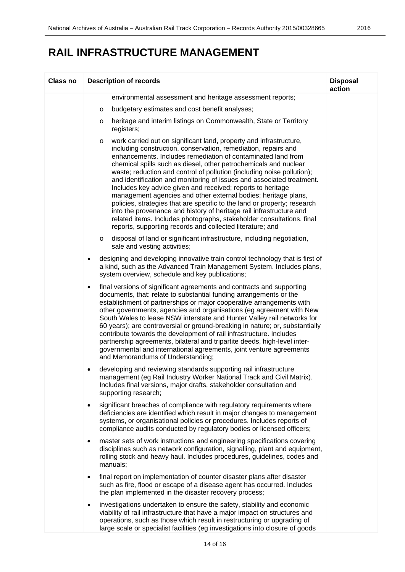| <b>Class no</b> | <b>Description of records</b>                                                                                                                                                                                                                                                                                                                                                                                                                                                                                                                                                                                                                                                                                                                                                                                                                                    | <b>Disposal</b><br>action |
|-----------------|------------------------------------------------------------------------------------------------------------------------------------------------------------------------------------------------------------------------------------------------------------------------------------------------------------------------------------------------------------------------------------------------------------------------------------------------------------------------------------------------------------------------------------------------------------------------------------------------------------------------------------------------------------------------------------------------------------------------------------------------------------------------------------------------------------------------------------------------------------------|---------------------------|
|                 | environmental assessment and heritage assessment reports;                                                                                                                                                                                                                                                                                                                                                                                                                                                                                                                                                                                                                                                                                                                                                                                                        |                           |
|                 | budgetary estimates and cost benefit analyses;<br>O                                                                                                                                                                                                                                                                                                                                                                                                                                                                                                                                                                                                                                                                                                                                                                                                              |                           |
|                 | heritage and interim listings on Commonwealth, State or Territory<br>$\circ$<br>registers;                                                                                                                                                                                                                                                                                                                                                                                                                                                                                                                                                                                                                                                                                                                                                                       |                           |
|                 | work carried out on significant land, property and infrastructure,<br>$\circ$<br>including construction, conservation, remediation, repairs and<br>enhancements. Includes remediation of contaminated land from<br>chemical spills such as diesel, other petrochemicals and nuclear<br>waste; reduction and control of pollution (including noise pollution);<br>and identification and monitoring of issues and associated treatment.<br>Includes key advice given and received; reports to heritage<br>management agencies and other external bodies; heritage plans,<br>policies, strategies that are specific to the land or property; research<br>into the provenance and history of heritage rail infrastructure and<br>related items. Includes photographs, stakeholder consultations, final<br>reports, supporting records and collected literature; and |                           |
|                 | disposal of land or significant infrastructure, including negotiation,<br>$\circ$<br>sale and vesting activities;                                                                                                                                                                                                                                                                                                                                                                                                                                                                                                                                                                                                                                                                                                                                                |                           |
|                 | designing and developing innovative train control technology that is first of<br>$\bullet$<br>a kind, such as the Advanced Train Management System. Includes plans,<br>system overview, schedule and key publications;                                                                                                                                                                                                                                                                                                                                                                                                                                                                                                                                                                                                                                           |                           |
|                 | final versions of significant agreements and contracts and supporting<br>$\bullet$<br>documents, that: relate to substantial funding arrangements or the<br>establishment of partnerships or major cooperative arrangements with<br>other governments, agencies and organisations (eg agreement with New<br>South Wales to lease NSW interstate and Hunter Valley rail networks for<br>60 years); are controversial or ground-breaking in nature; or, substantially<br>contribute towards the development of rail infrastructure. Includes<br>partnership agreements, bilateral and tripartite deeds, high-level inter-<br>governmental and international agreements, joint venture agreements<br>and Memorandums of Understanding;                                                                                                                              |                           |
|                 | developing and reviewing standards supporting rail infrastructure<br>$\bullet$<br>management (eg Rail Industry Worker National Track and Civil Matrix).<br>Includes final versions, major drafts, stakeholder consultation and<br>supporting research;                                                                                                                                                                                                                                                                                                                                                                                                                                                                                                                                                                                                           |                           |
|                 | significant breaches of compliance with regulatory requirements where<br>$\bullet$<br>deficiencies are identified which result in major changes to management<br>systems, or organisational policies or procedures. Includes reports of<br>compliance audits conducted by regulatory bodies or licensed officers;                                                                                                                                                                                                                                                                                                                                                                                                                                                                                                                                                |                           |
|                 | master sets of work instructions and engineering specifications covering<br>$\bullet$<br>disciplines such as network configuration, signalling, plant and equipment,<br>rolling stock and heavy haul. Includes procedures, guidelines, codes and<br>manuals;                                                                                                                                                                                                                                                                                                                                                                                                                                                                                                                                                                                                     |                           |
|                 | final report on implementation of counter disaster plans after disaster<br>such as fire, flood or escape of a disease agent has occurred. Includes<br>the plan implemented in the disaster recovery process;                                                                                                                                                                                                                                                                                                                                                                                                                                                                                                                                                                                                                                                     |                           |
|                 | investigations undertaken to ensure the safety, stability and economic<br>viability of rail infrastructure that have a major impact on structures and<br>operations, such as those which result in restructuring or upgrading of<br>large scale or specialist facilities (eg investigations into closure of goods                                                                                                                                                                                                                                                                                                                                                                                                                                                                                                                                                |                           |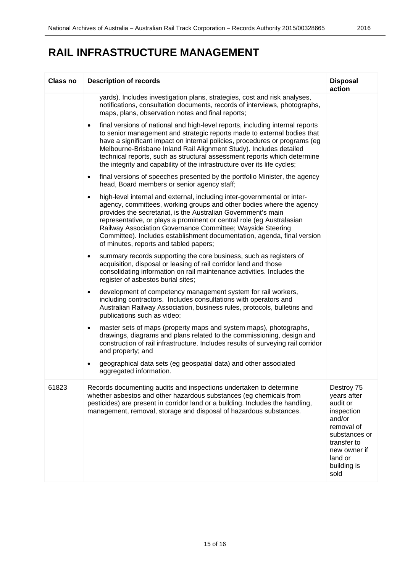| <b>Class no</b> | <b>Description of records</b>                                                                                                                                                                                                                                                                                                                                                                                                                                                              | <b>Disposal</b><br>action                                                                                                                                     |
|-----------------|--------------------------------------------------------------------------------------------------------------------------------------------------------------------------------------------------------------------------------------------------------------------------------------------------------------------------------------------------------------------------------------------------------------------------------------------------------------------------------------------|---------------------------------------------------------------------------------------------------------------------------------------------------------------|
|                 | yards). Includes investigation plans, strategies, cost and risk analyses,<br>notifications, consultation documents, records of interviews, photographs,<br>maps, plans, observation notes and final reports;                                                                                                                                                                                                                                                                               |                                                                                                                                                               |
|                 | final versions of national and high-level reports, including internal reports<br>$\bullet$<br>to senior management and strategic reports made to external bodies that<br>have a significant impact on internal policies, procedures or programs (eg<br>Melbourne-Brisbane Inland Rail Alignment Study). Includes detailed<br>technical reports, such as structural assessment reports which determine<br>the integrity and capability of the infrastructure over its life cycles;          |                                                                                                                                                               |
|                 | final versions of speeches presented by the portfolio Minister, the agency<br>$\bullet$<br>head, Board members or senior agency staff;                                                                                                                                                                                                                                                                                                                                                     |                                                                                                                                                               |
|                 | high-level internal and external, including inter-governmental or inter-<br>$\bullet$<br>agency, committees, working groups and other bodies where the agency<br>provides the secretariat, is the Australian Government's main<br>representative, or plays a prominent or central role (eg Australasian<br>Railway Association Governance Committee; Wayside Steering<br>Committee). Includes establishment documentation, agenda, final version<br>of minutes, reports and tabled papers; |                                                                                                                                                               |
|                 | summary records supporting the core business, such as registers of<br>$\bullet$<br>acquisition, disposal or leasing of rail corridor land and those<br>consolidating information on rail maintenance activities. Includes the<br>register of asbestos burial sites;                                                                                                                                                                                                                        |                                                                                                                                                               |
|                 | development of competency management system for rail workers,<br>$\bullet$<br>including contractors. Includes consultations with operators and<br>Australian Railway Association, business rules, protocols, bulletins and<br>publications such as video;                                                                                                                                                                                                                                  |                                                                                                                                                               |
|                 | master sets of maps (property maps and system maps), photographs,<br>٠<br>drawings, diagrams and plans related to the commissioning, design and<br>construction of rail infrastructure. Includes results of surveying rail corridor<br>and property; and                                                                                                                                                                                                                                   |                                                                                                                                                               |
|                 | geographical data sets (eg geospatial data) and other associated<br>aggregated information.                                                                                                                                                                                                                                                                                                                                                                                                |                                                                                                                                                               |
| 61823           | Records documenting audits and inspections undertaken to determine<br>whether asbestos and other hazardous substances (eg chemicals from<br>pesticides) are present in corridor land or a building. Includes the handling,<br>management, removal, storage and disposal of hazardous substances.                                                                                                                                                                                           | Destroy 75<br>years after<br>audit or<br>inspection<br>and/or<br>removal of<br>substances or<br>transfer to<br>new owner if<br>land or<br>building is<br>sold |